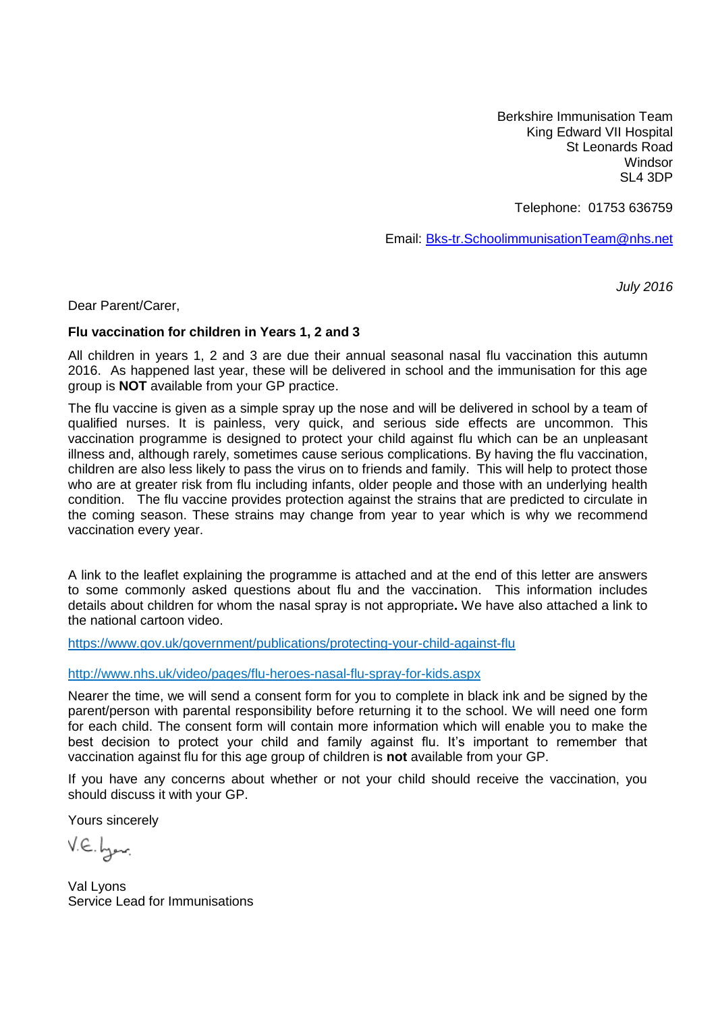Berkshire Immunisation Team King Edward VII Hospital St Leonards Road Windsor SL4 3DP

Telephone: 01753 636759

Email: [Bks-tr.SchoolimmunisationTeam@nhs.net](mailto:Bks-tr.SchoolimmunisationTeam@nhs.net)

*July 2016*

Dear Parent/Carer,

#### **Flu vaccination for children in Years 1, 2 and 3**

All children in years 1, 2 and 3 are due their annual seasonal nasal flu vaccination this autumn 2016. As happened last year, these will be delivered in school and the immunisation for this age group is **NOT** available from your GP practice.

The flu vaccine is given as a simple spray up the nose and will be delivered in school by a team of qualified nurses. It is painless, very quick, and serious side effects are uncommon. This vaccination programme is designed to protect your child against flu which can be an unpleasant illness and, although rarely, sometimes cause serious complications. By having the flu vaccination, children are also less likely to pass the virus on to friends and family. This will help to protect those who are at greater risk from flu including infants, older people and those with an underlying health condition. The flu vaccine provides protection against the strains that are predicted to circulate in the coming season. These strains may change from year to year which is why we recommend vaccination every year.

A link to the leaflet explaining the programme is attached and at the end of this letter are answers to some commonly asked questions about flu and the vaccination. This information includes details about children for whom the nasal spray is not appropriate**.** We have also attached a link to the national cartoon video.

<https://www.gov.uk/government/publications/protecting-your-child-against-flu>

#### <http://www.nhs.uk/video/pages/flu-heroes-nasal-flu-spray-for-kids.aspx>

Nearer the time, we will send a consent form for you to complete in black ink and be signed by the parent/person with parental responsibility before returning it to the school. We will need one form for each child. The consent form will contain more information which will enable you to make the best decision to protect your child and family against flu. It's important to remember that vaccination against flu for this age group of children is **not** available from your GP.

If you have any concerns about whether or not your child should receive the vaccination, you should discuss it with your GP.

Yours sincerely

V.E. byen.

Val Lyons Service Lead for Immunisations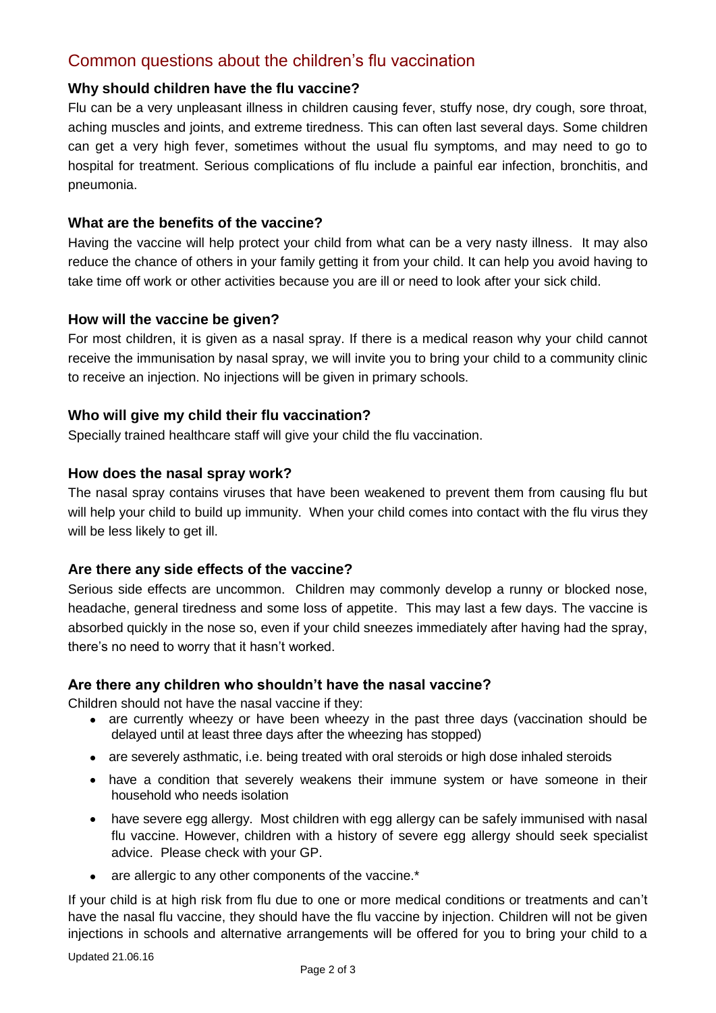# Common questions about the children's flu vaccination

# **Why should children have the flu vaccine?**

Flu can be a very unpleasant illness in children causing fever, stuffy nose, dry cough, sore throat, aching muscles and joints, and extreme tiredness. This can often last several days. Some children can get a very high fever, sometimes without the usual flu symptoms, and may need to go to hospital for treatment. Serious complications of flu include a painful ear infection, bronchitis, and pneumonia.

# **What are the benefits of the vaccine?**

Having the vaccine will help protect your child from what can be a very nasty illness. It may also reduce the chance of others in your family getting it from your child. It can help you avoid having to take time off work or other activities because you are ill or need to look after your sick child.

# **How will the vaccine be given?**

For most children, it is given as a nasal spray. If there is a medical reason why your child cannot receive the immunisation by nasal spray, we will invite you to bring your child to a community clinic to receive an injection. No injections will be given in primary schools.

# **Who will give my child their flu vaccination?**

Specially trained healthcare staff will give your child the flu vaccination.

# **How does the nasal spray work?**

The nasal spray contains viruses that have been weakened to prevent them from causing flu but will help your child to build up immunity. When your child comes into contact with the flu virus they will be less likely to get ill.

# **Are there any side effects of the vaccine?**

Serious side effects are uncommon. Children may commonly develop a runny or blocked nose, headache, general tiredness and some loss of appetite. This may last a few days. The vaccine is absorbed quickly in the nose so, even if your child sneezes immediately after having had the spray, there's no need to worry that it hasn't worked.

# **Are there any children who shouldn't have the nasal vaccine?**

Children should not have the nasal vaccine if they:

- are currently wheezy or have been wheezy in the past three days (vaccination should be delayed until at least three days after the wheezing has stopped)
- are severely asthmatic, i.e. being treated with oral steroids or high dose inhaled steroids
- have a condition that severely weakens their immune system or have someone in their household who needs isolation
- have severe egg allergy. Most children with egg allergy can be safely immunised with nasal flu vaccine. However, children with a history of severe egg allergy should seek specialist advice. Please check with your GP.
- are allergic to any other components of the vaccine.\*

If your child is at high risk from flu due to one or more medical conditions or treatments and can't have the nasal flu vaccine, they should have the flu vaccine by injection. Children will not be given injections in schools and alternative arrangements will be offered for you to bring your child to a